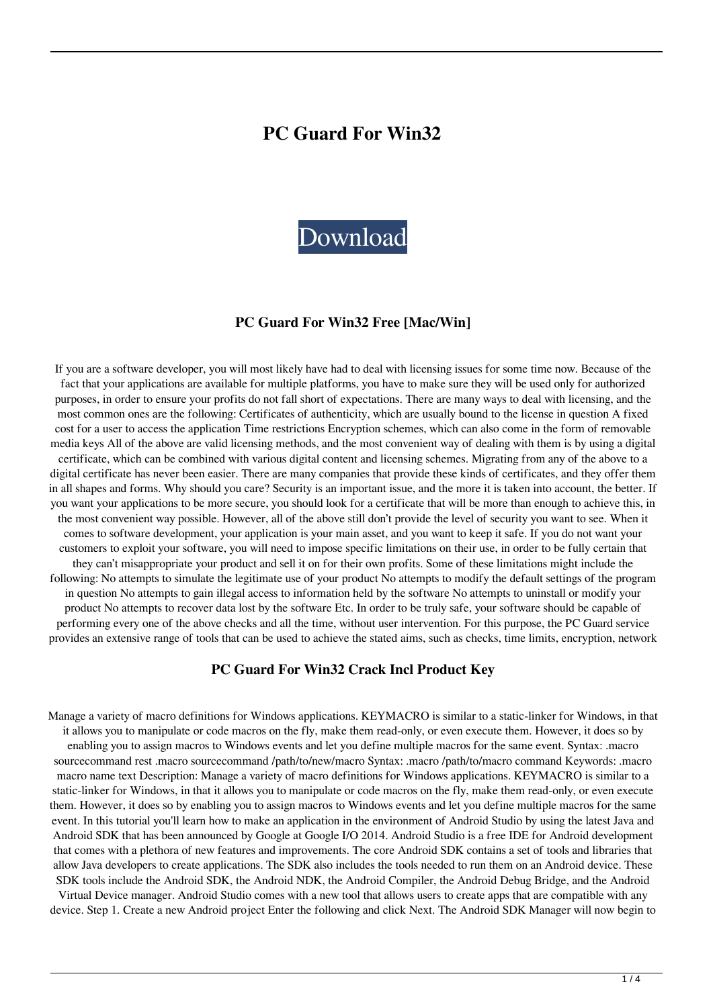# **PC Guard For Win32**



#### **PC Guard For Win32 Free [Mac/Win]**

If you are a software developer, you will most likely have had to deal with licensing issues for some time now. Because of the fact that your applications are available for multiple platforms, you have to make sure they will be used only for authorized purposes, in order to ensure your profits do not fall short of expectations. There are many ways to deal with licensing, and the most common ones are the following: Certificates of authenticity, which are usually bound to the license in question A fixed cost for a user to access the application Time restrictions Encryption schemes, which can also come in the form of removable media keys All of the above are valid licensing methods, and the most convenient way of dealing with them is by using a digital certificate, which can be combined with various digital content and licensing schemes. Migrating from any of the above to a digital certificate has never been easier. There are many companies that provide these kinds of certificates, and they offer them in all shapes and forms. Why should you care? Security is an important issue, and the more it is taken into account, the better. If you want your applications to be more secure, you should look for a certificate that will be more than enough to achieve this, in the most convenient way possible. However, all of the above still don't provide the level of security you want to see. When it comes to software development, your application is your main asset, and you want to keep it safe. If you do not want your customers to exploit your software, you will need to impose specific limitations on their use, in order to be fully certain that they can't misappropriate your product and sell it on for their own profits. Some of these limitations might include the following: No attempts to simulate the legitimate use of your product No attempts to modify the default settings of the program in question No attempts to gain illegal access to information held by the software No attempts to uninstall or modify your product No attempts to recover data lost by the software Etc. In order to be truly safe, your software should be capable of performing every one of the above checks and all the time, without user intervention. For this purpose, the PC Guard service provides an extensive range of tools that can be used to achieve the stated aims, such as checks, time limits, encryption, network

#### **PC Guard For Win32 Crack Incl Product Key**

Manage a variety of macro definitions for Windows applications. KEYMACRO is similar to a static-linker for Windows, in that it allows you to manipulate or code macros on the fly, make them read-only, or even execute them. However, it does so by enabling you to assign macros to Windows events and let you define multiple macros for the same event. Syntax: .macro sourcecommand rest .macro sourcecommand /path/to/new/macro Syntax: .macro /path/to/macro command Keywords: .macro macro name text Description: Manage a variety of macro definitions for Windows applications. KEYMACRO is similar to a static-linker for Windows, in that it allows you to manipulate or code macros on the fly, make them read-only, or even execute them. However, it does so by enabling you to assign macros to Windows events and let you define multiple macros for the same event. In this tutorial you'll learn how to make an application in the environment of Android Studio by using the latest Java and Android SDK that has been announced by Google at Google I/O 2014. Android Studio is a free IDE for Android development that comes with a plethora of new features and improvements. The core Android SDK contains a set of tools and libraries that allow Java developers to create applications. The SDK also includes the tools needed to run them on an Android device. These SDK tools include the Android SDK, the Android NDK, the Android Compiler, the Android Debug Bridge, and the Android

Virtual Device manager. Android Studio comes with a new tool that allows users to create apps that are compatible with any device. Step 1. Create a new Android project Enter the following and click Next. The Android SDK Manager will now begin to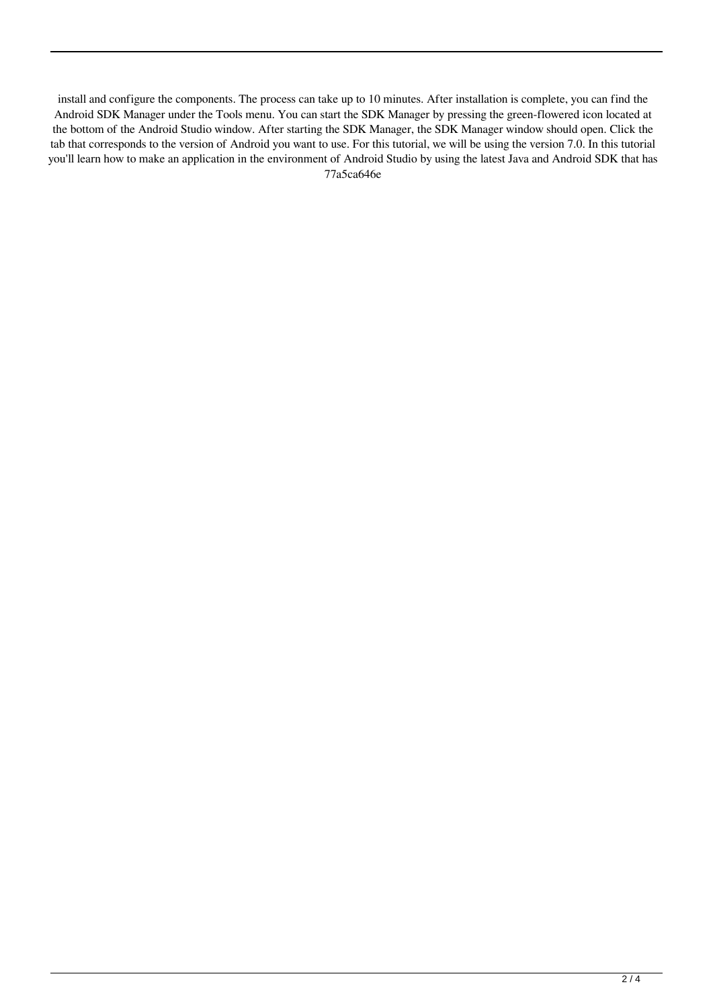install and configure the components. The process can take up to 10 minutes. After installation is complete, you can find the Android SDK Manager under the Tools menu. You can start the SDK Manager by pressing the green-flowered icon located at the bottom of the Android Studio window. After starting the SDK Manager, the SDK Manager window should open. Click the tab that corresponds to the version of Android you want to use. For this tutorial, we will be using the version 7.0. In this tutorial you'll learn how to make an application in the environment of Android Studio by using the latest Java and Android SDK that has 77a5ca646e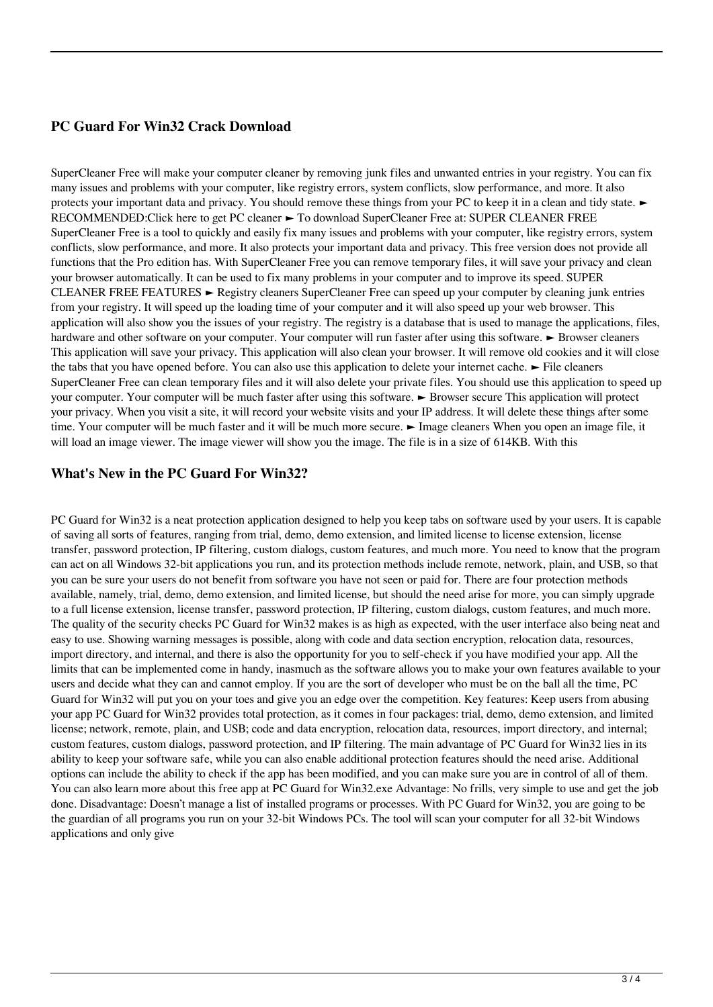## **PC Guard For Win32 Crack Download**

SuperCleaner Free will make your computer cleaner by removing junk files and unwanted entries in your registry. You can fix many issues and problems with your computer, like registry errors, system conflicts, slow performance, and more. It also protects your important data and privacy. You should remove these things from your PC to keep it in a clean and tidy state. ► RECOMMENDED:Click here to get PC cleaner ► To download SuperCleaner Free at: SUPER CLEANER FREE SuperCleaner Free is a tool to quickly and easily fix many issues and problems with your computer, like registry errors, system conflicts, slow performance, and more. It also protects your important data and privacy. This free version does not provide all functions that the Pro edition has. With SuperCleaner Free you can remove temporary files, it will save your privacy and clean your browser automatically. It can be used to fix many problems in your computer and to improve its speed. SUPER CLEANER FREE FEATURES ► Registry cleaners SuperCleaner Free can speed up your computer by cleaning junk entries from your registry. It will speed up the loading time of your computer and it will also speed up your web browser. This application will also show you the issues of your registry. The registry is a database that is used to manage the applications, files, hardware and other software on your computer. Your computer will run faster after using this software. ► Browser cleaners This application will save your privacy. This application will also clean your browser. It will remove old cookies and it will close the tabs that you have opened before. You can also use this application to delete your internet cache. ► File cleaners SuperCleaner Free can clean temporary files and it will also delete your private files. You should use this application to speed up your computer. Your computer will be much faster after using this software. ► Browser secure This application will protect your privacy. When you visit a site, it will record your website visits and your IP address. It will delete these things after some time. Your computer will be much faster and it will be much more secure. ► Image cleaners When you open an image file, it will load an image viewer. The image viewer will show you the image. The file is in a size of 614KB. With this

#### **What's New in the PC Guard For Win32?**

PC Guard for Win32 is a neat protection application designed to help you keep tabs on software used by your users. It is capable of saving all sorts of features, ranging from trial, demo, demo extension, and limited license to license extension, license transfer, password protection, IP filtering, custom dialogs, custom features, and much more. You need to know that the program can act on all Windows 32-bit applications you run, and its protection methods include remote, network, plain, and USB, so that you can be sure your users do not benefit from software you have not seen or paid for. There are four protection methods available, namely, trial, demo, demo extension, and limited license, but should the need arise for more, you can simply upgrade to a full license extension, license transfer, password protection, IP filtering, custom dialogs, custom features, and much more. The quality of the security checks PC Guard for Win32 makes is as high as expected, with the user interface also being neat and easy to use. Showing warning messages is possible, along with code and data section encryption, relocation data, resources, import directory, and internal, and there is also the opportunity for you to self-check if you have modified your app. All the limits that can be implemented come in handy, inasmuch as the software allows you to make your own features available to your users and decide what they can and cannot employ. If you are the sort of developer who must be on the ball all the time, PC Guard for Win32 will put you on your toes and give you an edge over the competition. Key features: Keep users from abusing your app PC Guard for Win32 provides total protection, as it comes in four packages: trial, demo, demo extension, and limited license; network, remote, plain, and USB; code and data encryption, relocation data, resources, import directory, and internal; custom features, custom dialogs, password protection, and IP filtering. The main advantage of PC Guard for Win32 lies in its ability to keep your software safe, while you can also enable additional protection features should the need arise. Additional options can include the ability to check if the app has been modified, and you can make sure you are in control of all of them. You can also learn more about this free app at PC Guard for Win32.exe Advantage: No frills, very simple to use and get the job done. Disadvantage: Doesn't manage a list of installed programs or processes. With PC Guard for Win32, you are going to be the guardian of all programs you run on your 32-bit Windows PCs. The tool will scan your computer for all 32-bit Windows applications and only give